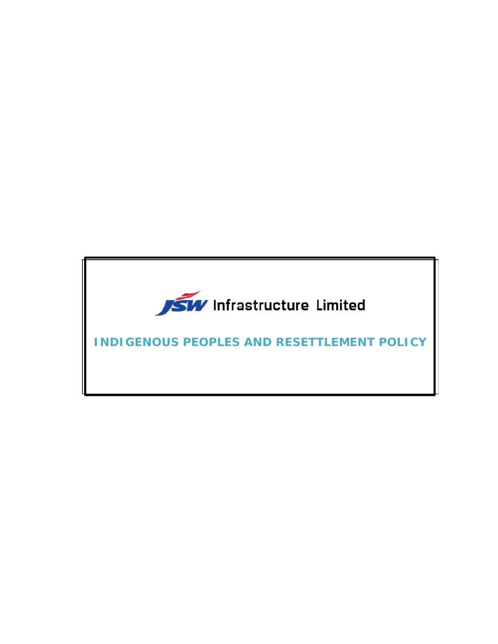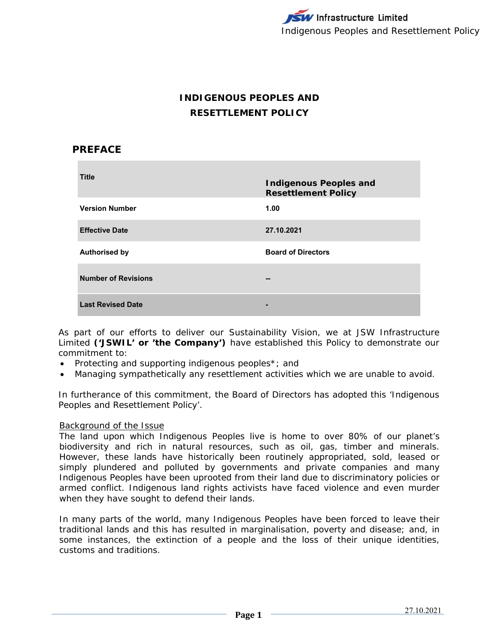# **INDIGENOUS PEOPLES AND RESETTLEMENT POLICY**

# **PREFACE**

| <b>Title</b>               | <b>Indigenous Peoples and</b><br><b>Resettlement Policy</b> |
|----------------------------|-------------------------------------------------------------|
| <b>Version Number</b>      | 1.00                                                        |
| <b>Effective Date</b>      | 27.10.2021                                                  |
| <b>Authorised by</b>       | <b>Board of Directors</b>                                   |
| <b>Number of Revisions</b> | --                                                          |
| <b>Last Revised Date</b>   |                                                             |

As part of our efforts to deliver our Sustainability Vision, we at JSW Infrastructure Limited **('JSWIL' or 'the Company')** have established this Policy to demonstrate our commitment to:

- Protecting and supporting indigenous peoples<sup>\*</sup>; and
- Managing sympathetically any resettlement activities which we are unable to avoid.

In furtherance of this commitment, the Board of Directors has adopted this 'Indigenous Peoples and Resettlement Policy'.

## Background of the Issue

The land upon which Indigenous Peoples live is home to over 80% of our planet's biodiversity and rich in natural resources, such as oil, gas, timber and minerals. However, these lands have historically been routinely appropriated, sold, leased or simply plundered and polluted by governments and private companies and many Indigenous Peoples have been uprooted from their land due to discriminatory policies or armed conflict. Indigenous land rights activists have faced violence and even murder when they have sought to defend their lands.

In many parts of the world, many Indigenous Peoples have been forced to leave their traditional lands and this has resulted in marginalisation, poverty and disease; and, in some instances, the extinction of a people and the loss of their unique identities, customs and traditions.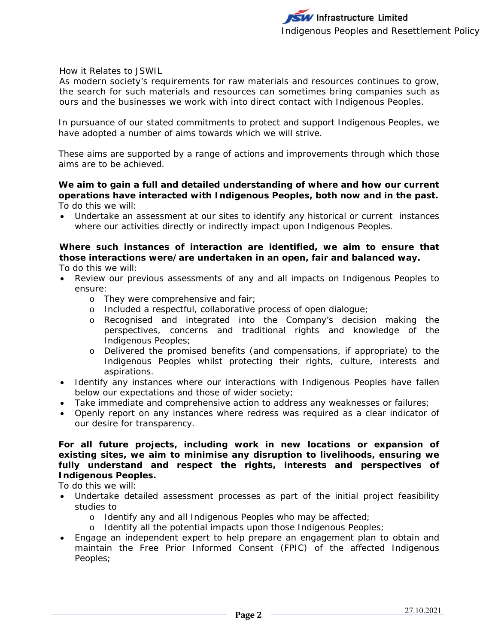# How it Relates to JSWIL

As modern society's requirements for raw materials and resources continues to grow, the search for such materials and resources can sometimes bring companies such as ours and the businesses we work with into direct contact with Indigenous Peoples.

In pursuance of our stated commitments to protect and support Indigenous Peoples, we have adopted a number of aims towards which we will strive.

These aims are supported by a range of actions and improvements through which those aims are to be achieved.

#### **We aim to gain a full and detailed understanding of where and how our current operations have interacted with Indigenous Peoples, both now and in the past.**  To do this we will:

 Undertake an assessment at our sites to identify any historical or current instances where our activities directly or indirectly impact upon Indigenous Peoples.

#### **Where such instances of interaction are identified, we aim to ensure that those interactions were/are undertaken in an open, fair and balanced way.**  To do this we will:

- Review our previous assessments of any and all impacts on Indigenous Peoples to ensure:
	- o They were comprehensive and fair;
	- o Included a respectful, collaborative process of open dialogue;
	- o Recognised and integrated into the Company's decision making the perspectives, concerns and traditional rights and knowledge of the Indigenous Peoples;
	- o Delivered the promised benefits (and compensations, if appropriate) to the Indigenous Peoples whilst protecting their rights, culture, interests and aspirations.
- Identify any instances where our interactions with Indigenous Peoples have fallen below our expectations and those of wider society;
- Take immediate and comprehensive action to address any weaknesses or failures;
- Openly report on any instances where redress was required as a clear indicator of our desire for transparency.

# **For all future projects, including work in new locations or expansion of existing sites, we aim to minimise any disruption to livelihoods, ensuring we fully understand and respect the rights, interests and perspectives of Indigenous Peoples.**

To do this we will:

- Undertake detailed assessment processes as part of the initial project feasibility studies to
	- o Identify any and all Indigenous Peoples who may be affected;
	- o Identify all the potential impacts upon those Indigenous Peoples;
- Engage an independent expert to help prepare an engagement plan to obtain and maintain the Free Prior Informed Consent (FPIC) of the affected Indigenous Peoples;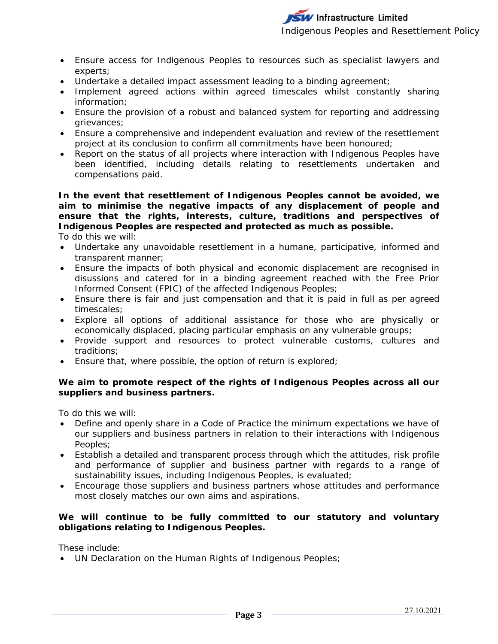- Ensure access for Indigenous Peoples to resources such as specialist lawyers and experts;
- Undertake a detailed impact assessment leading to a binding agreement;
- Implement agreed actions within agreed timescales whilst constantly sharing information;
- Ensure the provision of a robust and balanced system for reporting and addressing grievances;
- Ensure a comprehensive and independent evaluation and review of the resettlement project at its conclusion to confirm all commitments have been honoured;
- Report on the status of all projects where interaction with Indigenous Peoples have been identified, including details relating to resettlements undertaken and compensations paid.

**In the event that resettlement of Indigenous Peoples cannot be avoided, we aim to minimise the negative impacts of any displacement of people and ensure that the rights, interests, culture, traditions and perspectives of Indigenous Peoples are respected and protected as much as possible.** 

To do this we will:

- Undertake any unavoidable resettlement in a humane, participative, informed and transparent manner;
- Ensure the impacts of both physical and economic displacement are recognised in disussions and catered for in a binding agreement reached with the Free Prior Informed Consent (FPIC) of the affected Indigenous Peoples;
- Ensure there is fair and just compensation and that it is paid in full as per agreed timescales;
- Explore all options of additional assistance for those who are physically or economically displaced, placing particular emphasis on any vulnerable groups;
- Provide support and resources to protect vulnerable customs, cultures and traditions;
- Ensure that, where possible, the option of return is explored;

# **We aim to promote respect of the rights of Indigenous Peoples across all our suppliers and business partners.**

To do this we will:

- Define and openly share in a Code of Practice the minimum expectations we have of our suppliers and business partners in relation to their interactions with Indigenous Peoples;
- Establish a detailed and transparent process through which the attitudes, risk profile and performance of supplier and business partner with regards to a range of sustainability issues, including Indigenous Peoples, is evaluated;
- Encourage those suppliers and business partners whose attitudes and performance most closely matches our own aims and aspirations.

# **We will continue to be fully committed to our statutory and voluntary obligations relating to Indigenous Peoples.**

These include:

UN Declaration on the Human Rights of Indigenous Peoples;